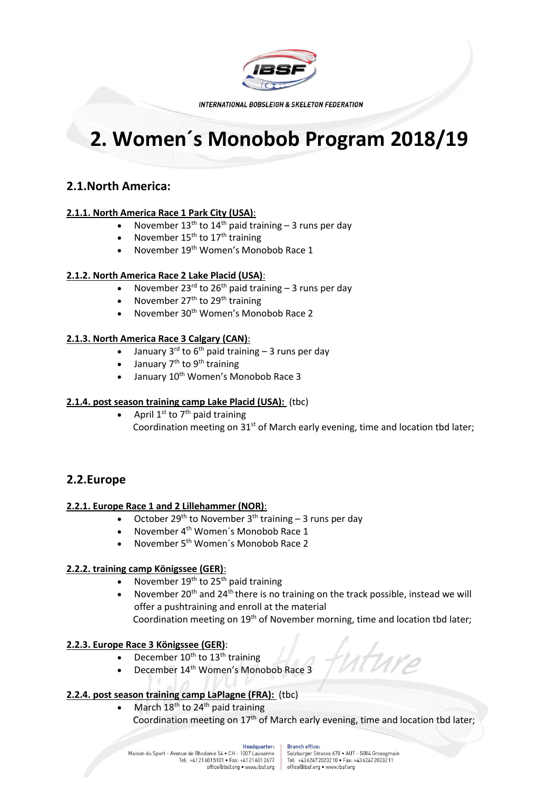

**INTERNATIONAL BOBSLEIGH & SKELETON FEDERATION** 

# **2. Women´s Monobob Program 2018/19**

# **2.1.North America:**

### **2.1.1. North America Race 1 Park City (USA)**:

- November  $13<sup>th</sup>$  to  $14<sup>th</sup>$  paid training 3 runs per day
- November 15<sup>th</sup> to 17<sup>th</sup> training
- November 19th Women's Monobob Race 1

### **2.1.2. North America Race 2 Lake Placid (USA)**:

- November 23<sup>rd</sup> to 26<sup>th</sup> paid training  $-$  3 runs per day
- November 27th to 29th training
- November 30th Women's Monobob Race 2

### **2.1.3. North America Race 3 Calgary (CAN)**:

- January 3<sup>rd</sup> to 6<sup>th</sup> paid training 3 runs per day
- January  $7<sup>th</sup>$  to 9<sup>th</sup> training
- January 10<sup>th</sup> Women's Monobob Race 3

### **2.1.4. post season training camp Lake Placid (USA):** (tbc)

• April  $1^{st}$  to  $7^{th}$  paid training Coordination meeting on  $31<sup>st</sup>$  of March early evening, time and location tbd later;

## **2.2.Europe**

### **2.2.1. Europe Race 1 and 2 Lillehammer (NOR)**:

- October 29<sup>th</sup> to November 3<sup>th</sup> training 3 runs per day
- November 4<sup>th</sup> Women's Monobob Race 1
- November 5th Women´s Monobob Race 2

### **2.2.2. training camp Königssee (GER)**:

- November  $19<sup>th</sup>$  to 25<sup>th</sup> paid training
- November 20<sup>th</sup> and 24<sup>th</sup> there is no training on the track possible, instead we will offer a pushtraining and enroll at the material Coordination meeting on 19<sup>th</sup> of November morning, time and location tbd later;

### **2.2.3. Europe Race 3 Königssee (GER)**:

- December  $10^{th}$  to  $13^{th}$  training
- December 14th Women's Monobob Race 3

### **2.2.4. post season training camp LaPlagne (FRA):** (tbc)

March 18<sup>th</sup> to 24<sup>th</sup> paid training Coordination meeting on 17<sup>th</sup> of March early evening, time and location tbd later;

#### Headquarter: Maison du Sport - Avenue de Rhodanie 54 · CH - 1007 Lausanne Tel: +41216015101 • Fax: +41216012677<br>office@ibsf.org • www.ibsf.org

#### **Branch office:**

Salzburger Strasse 678 · AUT - 5084 Grossgmain Tel: +4362472023210 . Fax: +4362472023211 office@ibsf.org . www.ibsf.org